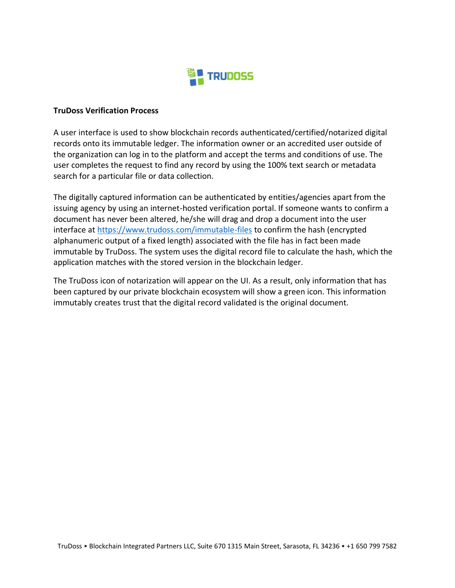

## **TruDoss Verification Process**

A user interface is used to show blockchain records authenticated/certified/notarized digital records onto its immutable ledger. The information owner or an accredited user outside of the organization can log in to the platform and accept the terms and conditions of use. The user completes the request to find any record by using the 100% text search or metadata search for a particular file or data collection.

The digitally captured information can be authenticated by entities/agencies apart from the issuing agency by using an internet-hosted verification portal. If someone wants to confirm a document has never been altered, he/she will drag and drop a document into the user interface at<https://www.trudoss.com/immutable-files> to confirm the hash (encrypted alphanumeric output of a fixed length) associated with the file has in fact been made immutable by TruDoss. The system uses the digital record file to calculate the hash, which the application matches with the stored version in the blockchain ledger.

The TruDoss icon of notarization will appear on the UI. As a result, only information that has been captured by our private blockchain ecosystem will show a green icon. This information immutably creates trust that the digital record validated is the original document.